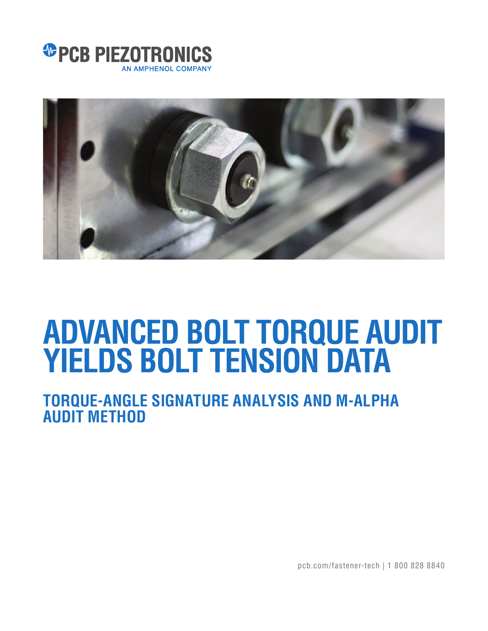



# **ADVANCED BOLT TORQUE AUDIT YIELDS BOLT TENSION DATA**

## **TORQUE-ANGLE SIGNATURE ANALYSIS AND M-ALPHA AUDIT METHOD**

pcb.com/fastener-tech | 1 800 828 8840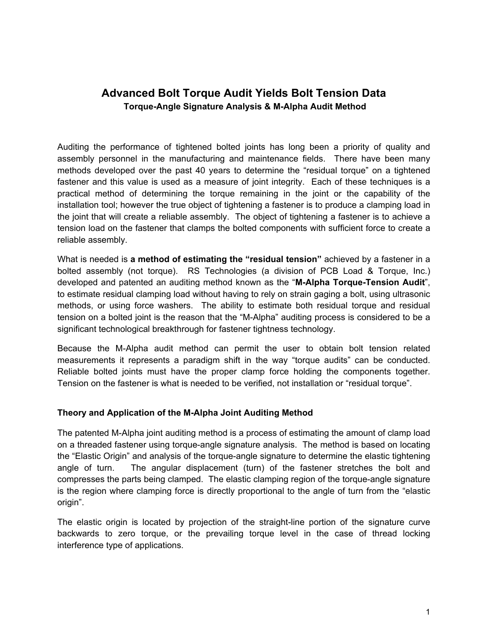### **Advanced Bolt Torque Audit Yields Bolt Tension Data Torque-Angle Signature Analysis & M-Alpha Audit Method**

Auditing the performance of tightened bolted joints has long been a priority of quality and assembly personnel in the manufacturing and maintenance fields. There have been many methods developed over the past 40 years to determine the "residual torque" on a tightened fastener and this value is used as a measure of joint integrity. Each of these techniques is a practical method of determining the torque remaining in the joint or the capability of the installation tool; however the true object of tightening a fastener is to produce a clamping load in the joint that will create a reliable assembly. The object of tightening a fastener is to achieve a tension load on the fastener that clamps the bolted components with sufficient force to create a reliable assembly.

What is needed is **a method of estimating the "residual tension"** achieved by a fastener in a bolted assembly (not torque). RS Technologies (a division of PCB Load & Torque, Inc.) developed and patented an auditing method known as the "**M-Alpha Torque-Tension Audit**", to estimate residual clamping load without having to rely on strain gaging a bolt, using ultrasonic methods, or using force washers. The ability to estimate both residual torque and residual tension on a bolted joint is the reason that the "M-Alpha" auditing process is considered to be a significant technological breakthrough for fastener tightness technology.

Because the M-Alpha audit method can permit the user to obtain bolt tension related measurements it represents a paradigm shift in the way "torque audits" can be conducted. Reliable bolted joints must have the proper clamp force holding the components together. Tension on the fastener is what is needed to be verified, not installation or "residual torque".

#### **Theory and Application of the M-Alpha Joint Auditing Method**

The patented M-Alpha joint auditing method is a process of estimating the amount of clamp load on a threaded fastener using torque-angle signature analysis. The method is based on locating the "Elastic Origin" and analysis of the torque-angle signature to determine the elastic tightening angle of turn. The angular displacement (turn) of the fastener stretches the bolt and compresses the parts being clamped. The elastic clamping region of the torque-angle signature is the region where clamping force is directly proportional to the angle of turn from the "elastic origin".

The elastic origin is located by projection of the straight-line portion of the signature curve backwards to zero torque, or the prevailing torque level in the case of thread locking interference type of applications.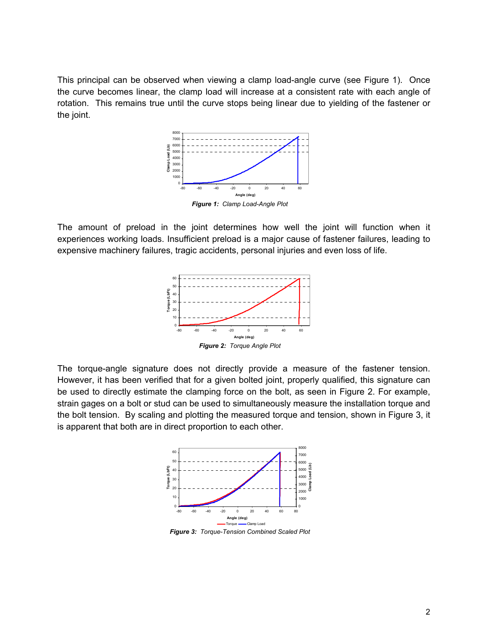This principal can be observed when viewing a clamp load-angle curve (see Figure 1). Once the curve becomes linear, the clamp load will increase at a consistent rate with each angle of rotation. This remains true until the curve stops being linear due to yielding of the fastener or the joint.



The amount of preload in the joint determines how well the joint will function when it experiences working loads. Insufficient preload is a major cause of fastener failures, leading to expensive machinery failures, tragic accidents, personal injuries and even loss of life.



*Figure 2: Torque Angle Plot* 

The torque-angle signature does not directly provide a measure of the fastener tension. However, it has been verified that for a given bolted joint, properly qualified, this signature can be used to directly estimate the clamping force on the bolt, as seen in Figure 2. For example, strain gages on a bolt or stud can be used to simultaneously measure the installation torque and the bolt tension. By scaling and plotting the measured torque and tension, shown in Figure 3, it is apparent that both are in direct proportion to each other.



*Figure 3: Torque-Tension Combined Scaled Plot*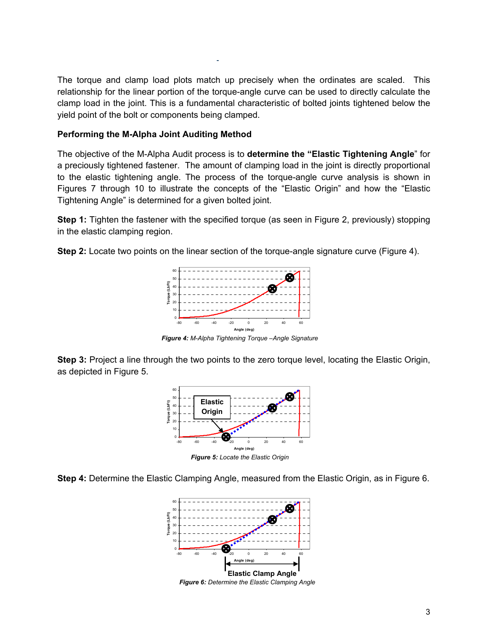The torque and clamp load plots match up precisely when the ordinates are scaled. This relationship for the linear portion of the torque-angle curve can be used to directly calculate the clamp load in the joint. This is a fundamental characteristic of bolted joints tightened below the yield point of the bolt or components being clamped.

#### **Performing the M-Alpha Joint Auditing Method**

The objective of the M-Alpha Audit process is to **determine the "Elastic Tightening Angle**" for a preciously tightened fastener. The amount of clamping load in the joint is directly proportional to the elastic tightening angle. The process of the torque-angle curve analysis is shown in Figures 7 through 10 to illustrate the concepts of the "Elastic Origin" and how the "Elastic Tightening Angle" is determined for a given bolted joint.

**Step 1:** Tighten the fastener with the specified torque (as seen in Figure 2, previously) stopping in the elastic clamping region.

**Step 2:** Locate two points on the linear section of the torque-angle signature curve (Figure 4).



*Figure 4: M-Alpha Tightening Torque –Angle Signature* 

**Step 3:** Project a line through the two points to the zero torque level, locating the Elastic Origin, as depicted in Figure 5.



**Step 4:** Determine the Elastic Clamping Angle, measured from the Elastic Origin, as in Figure 6.



*Figure 6: Determine the Elastic Clamping Angle*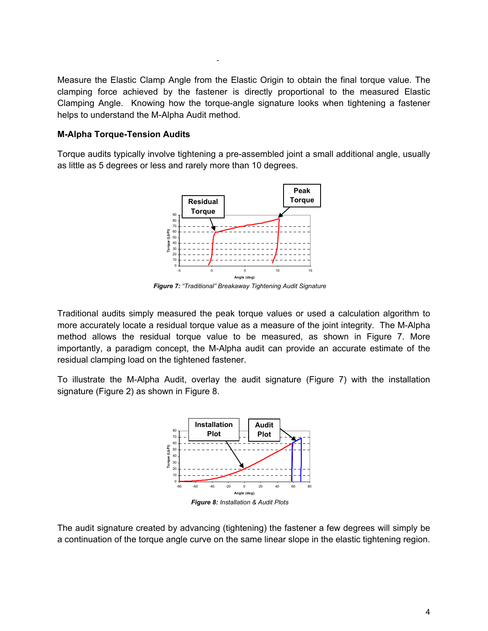Measure the Elastic Clamp Angle from the Elastic Origin to obtain the final torque value. The clamping force achieved by the fastener is directly proportional to the measured Elastic Clamping Angle. Knowing how the torque-angle signature looks when tightening a fastener helps to understand the M-Alpha Audit method.

#### **M-Alpha Torque-Tension Audits**

Torque audits typically involve tightening a pre-assembled joint a small additional angle, usually as little as 5 degrees or less and rarely more than 10 degrees.



*Figure 7: "Traditional" Breakaway Tightening Audit Signature* 

Traditional audits simply measured the peak torque values or used a calculation algorithm to more accurately locate a residual torque value as a measure of the joint integrity. The M-Alpha method allows the residual torque value to be measured, as shown in Figure 7. More importantly, a paradigm concept, the M-Alpha audit can provide an accurate estimate of the residual clamping load on the tightened fastener.

To illustrate the M-Alpha Audit, overlay the audit signature (Figure 7) with the installation signature (Figure 2) as shown in Figure 8.



The audit signature created by advancing (tightening) the fastener a few degrees will simply be a continuation of the torque angle curve on the same linear slope in the elastic tightening region.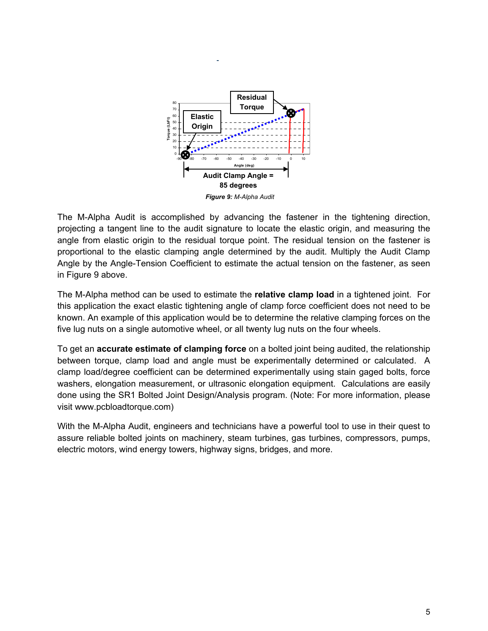

The M-Alpha Audit is accomplished by advancing the fastener in the tightening direction, projecting a tangent line to the audit signature to locate the elastic origin, and measuring the angle from elastic origin to the residual torque point. The residual tension on the fastener is proportional to the elastic clamping angle determined by the audit. Multiply the Audit Clamp Angle by the Angle-Tension Coefficient to estimate the actual tension on the fastener, as seen in Figure 9 above.

The M-Alpha method can be used to estimate the **relative clamp load** in a tightened joint. For this application the exact elastic tightening angle of clamp force coefficient does not need to be known. An example of this application would be to determine the relative clamping forces on the five lug nuts on a single automotive wheel, or all twenty lug nuts on the four wheels.

To get an **accurate estimate of clamping force** on a bolted joint being audited, the relationship between torque, clamp load and angle must be experimentally determined or calculated. A clamp load/degree coefficient can be determined experimentally using stain gaged bolts, force washers, elongation measurement, or ultrasonic elongation equipment. Calculations are easily done using the SR1 Bolted Joint Design/Analysis program. (Note: For more information, please visit www.pcbloadtorque.com)

With the M-Alpha Audit, engineers and technicians have a powerful tool to use in their quest to assure reliable bolted joints on machinery, steam turbines, gas turbines, compressors, pumps, electric motors, wind energy towers, highway signs, bridges, and more.